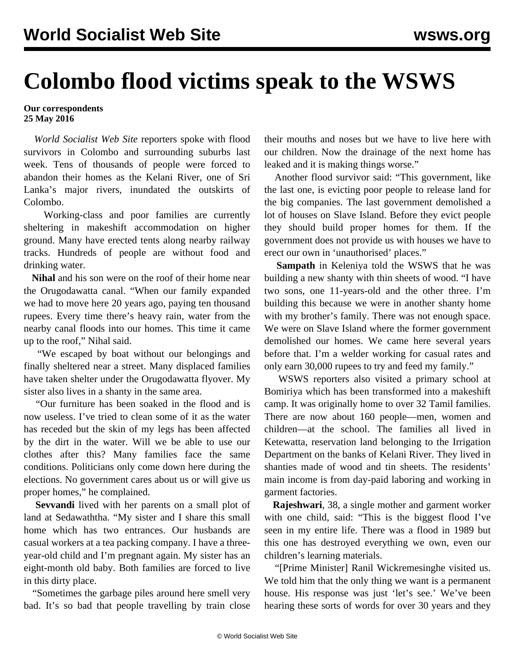## **Colombo flood victims speak to the WSWS**

## **Our correspondents 25 May 2016**

 *World Socialist Web Site* reporters spoke with flood survivors in Colombo and surrounding suburbs last week. Tens of thousands of people were forced to abandon their homes as the Kelani River, one of Sri Lanka's major rivers, inundated the outskirts of Colombo.

 Working-class and poor families are currently sheltering in makeshift accommodation on higher ground. Many have erected tents along nearby railway tracks. Hundreds of people are without food and drinking water.

 **Nihal** and his son were on the roof of their home near the Orugodawatta canal. "When our family expanded we had to move here 20 years ago, paying ten thousand rupees. Every time there's heavy rain, water from the nearby canal floods into our homes. This time it came up to the roof," Nihal said.

 "We escaped by boat without our belongings and finally sheltered near a street. Many displaced families have taken shelter under the Orugodawatta flyover. My sister also lives in a shanty in the same area.

 "Our furniture has been soaked in the flood and is now useless. I've tried to clean some of it as the water has receded but the skin of my legs has been affected by the dirt in the water. Will we be able to use our clothes after this? Many families face the same conditions. Politicians only come down here during the elections. No government cares about us or will give us proper homes," he complained.

 **Sevvandi** lived with her parents on a small plot of land at Sedawaththa. "My sister and I share this small home which has two entrances. Our husbands are casual workers at a tea packing company. I have a threeyear-old child and I'm pregnant again. My sister has an eight-month old baby. Both families are forced to live in this dirty place.

 "Sometimes the garbage piles around here smell very bad. It's so bad that people travelling by train close

their mouths and noses but we have to live here with our children. Now the drainage of the next home has leaked and it is making things worse."

 Another flood survivor said: "This government, like the last one, is evicting poor people to release land for the big companies. The last government demolished a lot of houses on Slave Island. Before they evict people they should build proper homes for them. If the government does not provide us with houses we have to erect our own in 'unauthorised' places."

 **Sampath** in Keleniya told the WSWS that he was building a new shanty with thin sheets of wood. "I have two sons, one 11-years-old and the other three. I'm building this because we were in another shanty home with my brother's family. There was not enough space. We were on Slave Island where the former government demolished our homes. We came here several years before that. I'm a welder working for casual rates and only earn 30,000 rupees to try and feed my family."

 WSWS reporters also visited a primary school at Bomiriya which has been transformed into a makeshift camp. It was originally home to over 32 Tamil families. There are now about 160 people—men, women and children—at the school. The families all lived in Ketewatta, reservation land belonging to the Irrigation Department on the banks of Kelani River. They lived in shanties made of wood and tin sheets. The residents' main income is from day-paid laboring and working in garment factories.

 **Rajeshwari**, 38, a single mother and garment worker with one child, said: "This is the biggest flood I've seen in my entire life. There was a flood in 1989 but this one has destroyed everything we own, even our children's learning materials.

 "[Prime Minister] Ranil Wickremesinghe visited us. We told him that the only thing we want is a permanent house. His response was just 'let's see.' We've been hearing these sorts of words for over 30 years and they